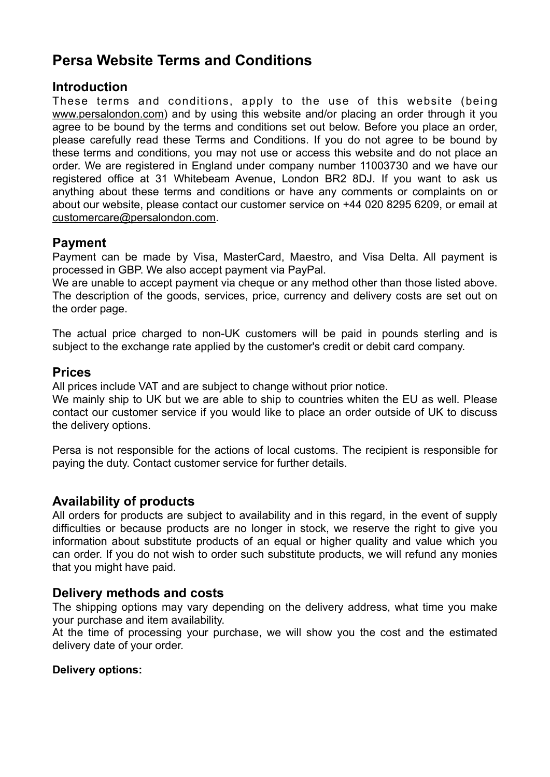# **Persa Website Terms and Conditions**

# **Introduction**

These terms and conditions, apply to the use of this website (being [www.persalondon.com](https://www.radley.co.uk/)) and by using this website and/or placing an order through it you agree to be bound by the terms and conditions set out below. Before you place an order, please carefully read these Terms and Conditions. If you do not agree to be bound by these terms and conditions, you may not use or access this website and do not place an order. We are registered in England under company number 11003730 and we have our registered office at 31 Whitebeam Avenue, London BR2 8DJ. If you want to ask us anything about these terms and conditions or have any comments or complaints on or about our website, please contact our customer service on +44 020 8295 6209, or email at [customercare@persalondon.com.](mailto:customercare@persalondon.com)

# **Payment**

Payment can be made by Visa, MasterCard, Maestro, and Visa Delta. All payment is processed in GBP. We also accept payment via PayPal.

We are unable to accept payment via cheque or any method other than those listed above. The description of the goods, services, price, currency and delivery costs are set out on the order page.

The actual price charged to non-UK customers will be paid in pounds sterling and is subject to the exchange rate applied by the customer's credit or debit card company.

# **Prices**

All prices include VAT and are subject to change without prior notice.

We mainly ship to UK but we are able to ship to countries whiten the EU as well. Please contact our customer service if you would like to place an order outside of UK to discuss the delivery options.

Persa is not responsible for the actions of local customs. The recipient is responsible for paying the duty. Contact customer service for further details.

# **Availability of products**

All orders for products are subject to availability and in this regard, in the event of supply difficulties or because products are no longer in stock, we reserve the right to give you information about substitute products of an equal or higher quality and value which you can order. If you do not wish to order such substitute products, we will refund any monies that you might have paid.

# **Delivery methods and costs**

The shipping options may vary depending on the delivery address, what time you make your purchase and item availability.

At the time of processing your purchase, we will show you the cost and the estimated delivery date of your order.

### **Delivery options:**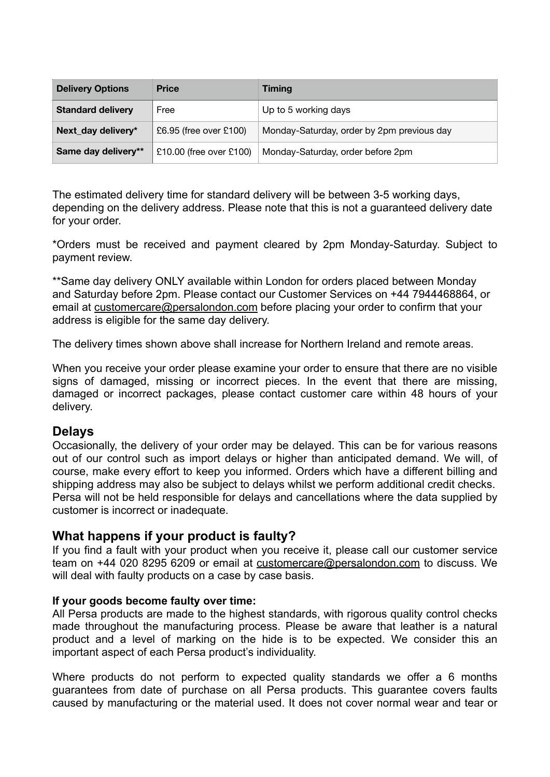| <b>Delivery Options</b>  | <b>Price</b>            | <b>Timing</b>                              |
|--------------------------|-------------------------|--------------------------------------------|
| <b>Standard delivery</b> | Free                    | Up to 5 working days                       |
| Next_day delivery*       | £6.95 (free over £100)  | Monday-Saturday, order by 2pm previous day |
| Same day delivery**      | £10.00 (free over £100) | Monday-Saturday, order before 2pm          |

The estimated delivery time for standard delivery will be between 3-5 working days, depending on the delivery address. Please note that this is not a guaranteed delivery date for your order.

\*Orders must be received and payment cleared by 2pm Monday-Saturday. Subject to payment review.

\*\*Same day delivery ONLY available within London for orders placed between Monday and Saturday before 2pm. Please contact our Customer Services on +44 7944468864, or email at [customercare@persalondon.com](mailto:customercare@persalondon.com) before placing your order to confirm that your address is eligible for the same day delivery.

The delivery times shown above shall increase for Northern Ireland and remote areas.

When you receive your order please examine your order to ensure that there are no visible signs of damaged, missing or incorrect pieces. In the event that there are missing, damaged or incorrect packages, please contact customer care within 48 hours of your delivery.

### **Delays**

Occasionally, the delivery of your order may be delayed. This can be for various reasons out of our control such as import delays or higher than anticipated demand. We will, of course, make every effort to keep you informed. Orders which have a different billing and shipping address may also be subject to delays whilst we perform additional credit checks. Persa will not be held responsible for delays and cancellations where the data supplied by customer is incorrect or inadequate.

### **What happens if your product is faulty?**

If you find a fault with your product when you receive it, please call our customer service team on +44 020 8295 6209 or email at [customercare@persalondon.com](mailto:customercare@persalondon.com) to discuss. We will deal with faulty products on a case by case basis.

#### **If your goods become faulty over time:**

All Persa products are made to the highest standards, with rigorous quality control checks made throughout the manufacturing process. Please be aware that leather is a natural product and a level of marking on the hide is to be expected. We consider this an important aspect of each Persa product's individuality.

Where products do not perform to expected quality standards we offer a 6 months guarantees from date of purchase on all Persa products. This guarantee covers faults caused by manufacturing or the material used. It does not cover normal wear and tear or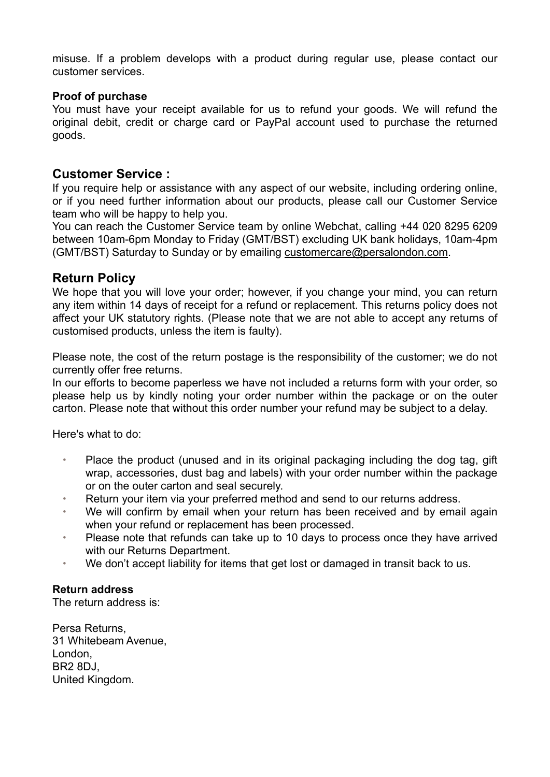misuse. If a problem develops with a product during regular use, please contact our customer services.

#### **Proof of purchase**

You must have your receipt available for us to refund your goods. We will refund the original debit, credit or charge card or PayPal account used to purchase the returned goods.

### **Customer Service :**

If you require help or assistance with any aspect of our website, including ordering online, or if you need further information about our products, please call our Customer Service team who will be happy to help you.

You can reach the Customer Service team by online Webchat, calling +44 020 8295 6209 between 10am-6pm Monday to Friday (GMT/BST) excluding UK bank holidays, 10am-4pm (GMT/BST) Saturday to Sunday or by emailing [customercare@persalondon.com](mailto:customercare@persalondon.com).

### **Return Policy**

We hope that you will love your order; however, if you change your mind, you can return any item within 14 days of receipt for a refund or replacement. This returns policy does not affect your UK statutory rights. (Please note that we are not able to accept any returns of customised products, unless the item is faulty).

Please note, the cost of the return postage is the responsibility of the customer; we do not currently offer free returns.

In our efforts to become paperless we have not included a returns form with your order, so please help us by kindly noting your order number within the package or on the outer carton. Please note that without this order number your refund may be subject to a delay.

Here's what to do:

- Place the product (unused and in its original packaging including the dog tag, gift wrap, accessories, dust bag and labels) with your order number within the package or on the outer carton and seal securely.
- Return your item via your preferred method and send to our returns address.
- We will confirm by email when your return has been received and by email again when your refund or replacement has been processed.
- Please note that refunds can take up to 10 days to process once they have arrived with our Returns Department.
- We don't accept liability for items that get lost or damaged in transit back to us.

#### **Return address**

The return address is:

Persa Returns, 31 Whitebeam Avenue, London, BR2 8DJ, United Kingdom.